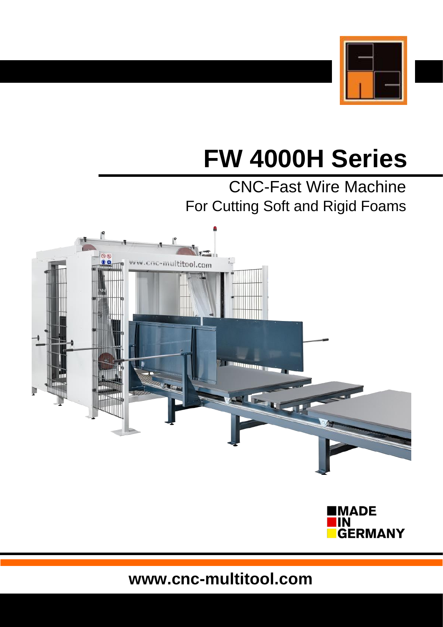

# **FW 4000H Series**

## CNC-Fast Wire Machine For Cutting Soft and Rigid Foams





**www.cnc-multitool.com**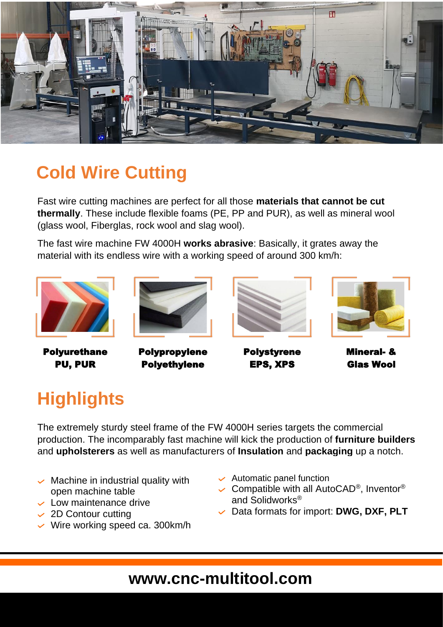

## **Cold Wire Cutting**

Fast wire cutting machines are perfect for all those **materials that cannot be cut thermally**. These include flexible foams (PE, PP and PUR), as well as mineral wool (glass wool, Fiberglas, rock wool and slag wool).

The fast wire machine FW 4000H **works abrasive**: Basically, it grates away the material with its endless wire with a working speed of around 300 km/h:



Polyurethane PU, PUR



Polypropylene Polyethylene



Polystyrene EPS, XPS



Mineral- & Glas Wool

## **Highlights**

The extremely sturdy steel frame of the FW 4000H series targets the commercial production. The incomparably fast machine will kick the production of **furniture builders** and **upholsterers** as well as manufacturers of **Insulation** and **packaging** up a notch.

- $\sim$  Machine in industrial quality with open machine table
- $\sim$  Low maintenance drive
- $\sim$  2D Contour cutting
- $\vee$  Wire working speed ca. 300 km/h
- $\sim$  Automatic panel function
- Compatible with all AutoCAD<sup>®</sup>, Inventor<sup>®</sup> and Solidworks®
- Data formats for import: **DWG, DXF, PLT**

#### **www.cnc-multitool.com**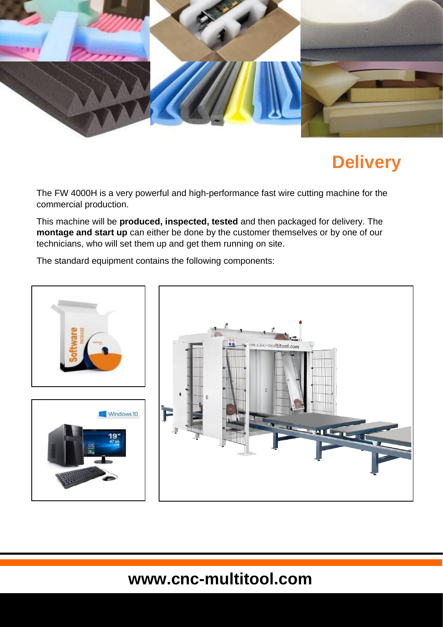

## **Delivery**

The FW 4000H is a very powerful and high-performance fast wire cutting machine for the commercial production.

This machine will be **produced, inspected, tested** and then packaged for delivery. The **montage and start up** can either be done by the customer themselves or by one of our technicians, who will set them up and get them running on site.

The standard equipment contains the following components:



### **www.cnc-multitool.com**